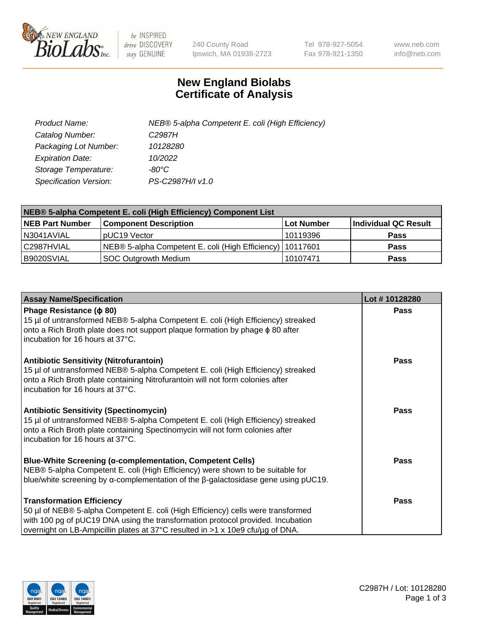

 $be$  INSPIRED drive DISCOVERY stay GENUINE

240 County Road Ipswich, MA 01938-2723 Tel 978-927-5054 Fax 978-921-1350 www.neb.com info@neb.com

## **New England Biolabs Certificate of Analysis**

| Product Name:           | NEB® 5-alpha Competent E. coli (High Efficiency) |
|-------------------------|--------------------------------------------------|
| Catalog Number:         | C <sub>2987</sub> H                              |
| Packaging Lot Number:   | 10128280                                         |
| <b>Expiration Date:</b> | 10/2022                                          |
| Storage Temperature:    | -80°C                                            |
| Specification Version:  | PS-C2987H/I v1.0                                 |

| NEB® 5-alpha Competent E. coli (High Efficiency) Component List |                                                             |            |                      |  |
|-----------------------------------------------------------------|-------------------------------------------------------------|------------|----------------------|--|
| <b>NEB Part Number</b>                                          | <b>Component Description</b>                                | Lot Number | Individual QC Result |  |
| N3041AVIAL                                                      | pUC19 Vector                                                | 10119396   | <b>Pass</b>          |  |
| C2987HVIAL                                                      | NEB® 5-alpha Competent E. coli (High Efficiency)   10117601 |            | <b>Pass</b>          |  |
| B9020SVIAL                                                      | <b>SOC Outgrowth Medium</b>                                 | 10107471   | <b>Pass</b>          |  |

| <b>Assay Name/Specification</b>                                                                                                                                                                                                                                                           | Lot #10128280 |
|-------------------------------------------------------------------------------------------------------------------------------------------------------------------------------------------------------------------------------------------------------------------------------------------|---------------|
| Phage Resistance ( $\phi$ 80)<br>15 µl of untransformed NEB® 5-alpha Competent E. coli (High Efficiency) streaked<br>onto a Rich Broth plate does not support plaque formation by phage $\phi$ 80 after<br>incubation for 16 hours at 37°C.                                               | <b>Pass</b>   |
| <b>Antibiotic Sensitivity (Nitrofurantoin)</b><br>15 µl of untransformed NEB® 5-alpha Competent E. coli (High Efficiency) streaked<br>onto a Rich Broth plate containing Nitrofurantoin will not form colonies after<br>incubation for 16 hours at 37°C.                                  | <b>Pass</b>   |
| <b>Antibiotic Sensitivity (Spectinomycin)</b><br>15 µl of untransformed NEB® 5-alpha Competent E. coli (High Efficiency) streaked<br>onto a Rich Broth plate containing Spectinomycin will not form colonies after<br>incubation for 16 hours at 37°C.                                    | Pass          |
| Blue-White Screening (α-complementation, Competent Cells)<br>NEB® 5-alpha Competent E. coli (High Efficiency) were shown to be suitable for<br>blue/white screening by $\alpha$ -complementation of the $\beta$ -galactosidase gene using pUC19.                                          | Pass          |
| <b>Transformation Efficiency</b><br>50 µl of NEB® 5-alpha Competent E. coli (High Efficiency) cells were transformed<br>with 100 pg of pUC19 DNA using the transformation protocol provided. Incubation<br>overnight on LB-Ampicillin plates at 37°C resulted in >1 x 10e9 cfu/µg of DNA. | Pass          |

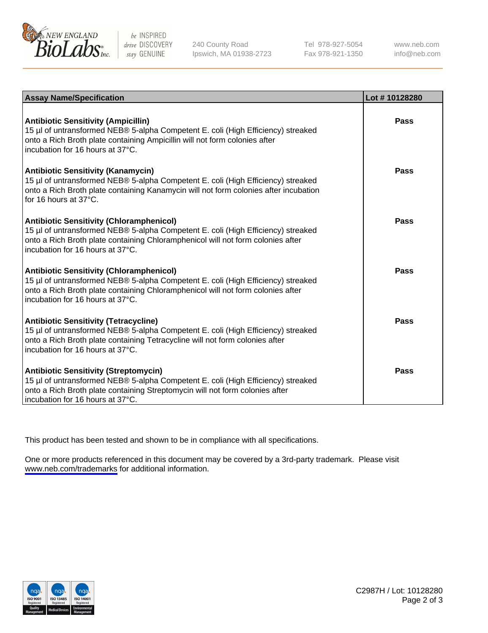

be INSPIRED drive DISCOVERY stay GENUINE

240 County Road Ipswich, MA 01938-2723 Tel 978-927-5054 Fax 978-921-1350

www.neb.com info@neb.com

| <b>Assay Name/Specification</b>                                                                                                                                                                                                                            | Lot #10128280 |
|------------------------------------------------------------------------------------------------------------------------------------------------------------------------------------------------------------------------------------------------------------|---------------|
| <b>Antibiotic Sensitivity (Ampicillin)</b><br>15 µl of untransformed NEB® 5-alpha Competent E. coli (High Efficiency) streaked<br>onto a Rich Broth plate containing Ampicillin will not form colonies after<br>incubation for 16 hours at 37°C.           | Pass          |
| <b>Antibiotic Sensitivity (Kanamycin)</b><br>15 µl of untransformed NEB® 5-alpha Competent E. coli (High Efficiency) streaked<br>onto a Rich Broth plate containing Kanamycin will not form colonies after incubation<br>for 16 hours at $37^{\circ}$ C.   | Pass          |
| <b>Antibiotic Sensitivity (Chloramphenicol)</b><br>15 µl of untransformed NEB® 5-alpha Competent E. coli (High Efficiency) streaked<br>onto a Rich Broth plate containing Chloramphenicol will not form colonies after<br>incubation for 16 hours at 37°C. | Pass          |
| <b>Antibiotic Sensitivity (Chloramphenicol)</b><br>15 µl of untransformed NEB® 5-alpha Competent E. coli (High Efficiency) streaked<br>onto a Rich Broth plate containing Chloramphenicol will not form colonies after<br>incubation for 16 hours at 37°C. | <b>Pass</b>   |
| <b>Antibiotic Sensitivity (Tetracycline)</b><br>15 µl of untransformed NEB® 5-alpha Competent E. coli (High Efficiency) streaked<br>onto a Rich Broth plate containing Tetracycline will not form colonies after<br>incubation for 16 hours at 37°C.       | Pass          |
| <b>Antibiotic Sensitivity (Streptomycin)</b><br>15 µl of untransformed NEB® 5-alpha Competent E. coli (High Efficiency) streaked<br>onto a Rich Broth plate containing Streptomycin will not form colonies after<br>incubation for 16 hours at 37°C.       | Pass          |

This product has been tested and shown to be in compliance with all specifications.

One or more products referenced in this document may be covered by a 3rd-party trademark. Please visit <www.neb.com/trademarks>for additional information.